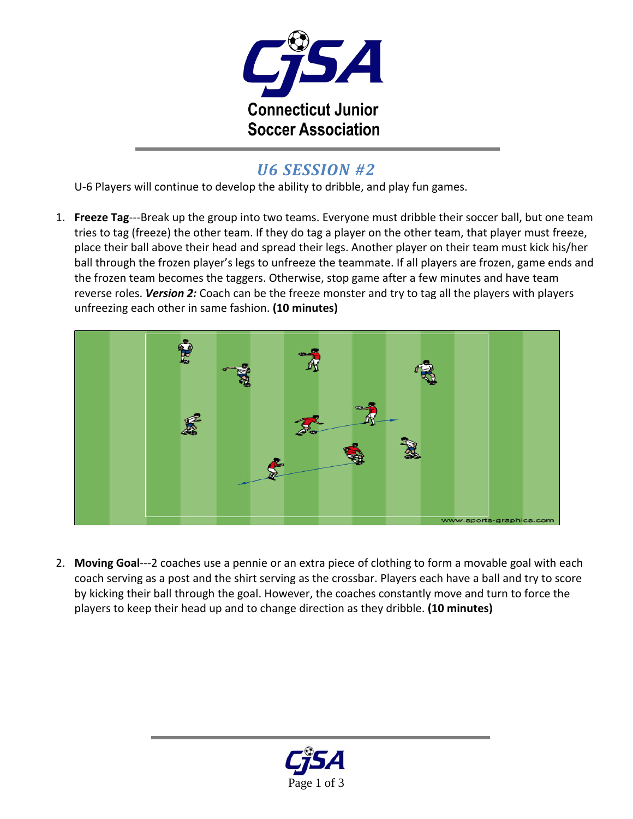

## *U6 SESSION #2*

U-6 Players will continue to develop the ability to dribble, and play fun games.

1. **Freeze Tag**‐‐‐Break up the group into two teams. Everyone must dribble their soccer ball, but one team tries to tag (freeze) the other team. If they do tag a player on the other team, that player must freeze, place their ball above their head and spread their legs. Another player on their team must kick his/her ball through the frozen player's legs to unfreeze the teammate. If all players are frozen, game ends and the frozen team becomes the taggers. Otherwise, stop game after a few minutes and have team reverse roles. *Version 2:* Coach can be the freeze monster and try to tag all the players with players unfreezing each other in same fashion. **(10 minutes)**



2. **Moving Goal**‐‐‐2 coaches use a pennie or an extra piece of clothing to form a movable goal with each coach serving as a post and the shirt serving as the crossbar. Players each have a ball and try to score by kicking their ball through the goal. However, the coaches constantly move and turn to force the players to keep their head up and to change direction as they dribble. **(10 minutes)**

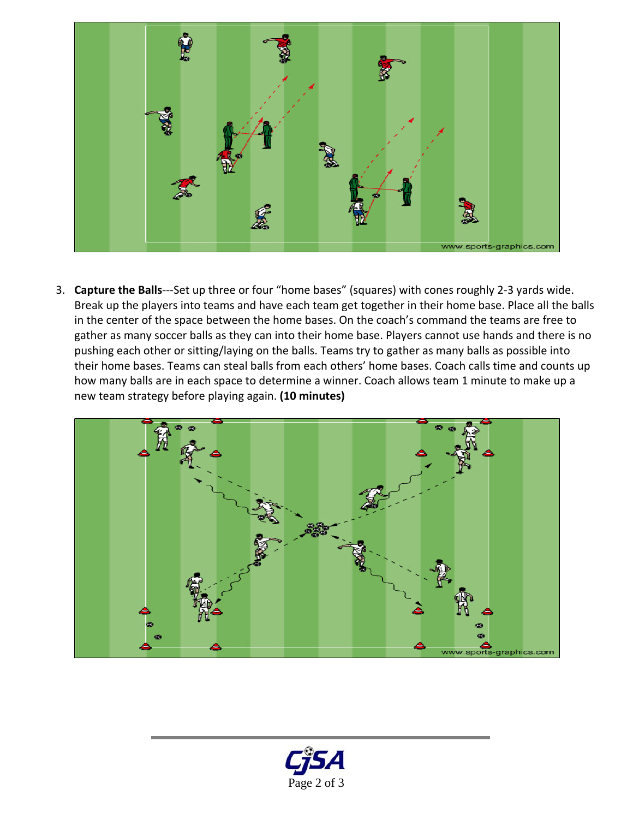

3. **Capture the Balls**‐‐‐Set up three or four "home bases" (squares) with cones roughly 2‐3 yards wide. Break up the players into teams and have each team get together in their home base. Place all the balls in the center of the space between the home bases. On the coach's command the teams are free to gather as many soccer balls as they can into their home base. Players cannot use hands and there is no pushing each other or sitting/laying on the balls. Teams try to gather as many balls as possible into their home bases. Teams can steal balls from each others' home bases. Coach calls time and counts up how many balls are in each space to determine a winner. Coach allows team 1 minute to make up a new team strategy before playing again. **(10 minutes)**